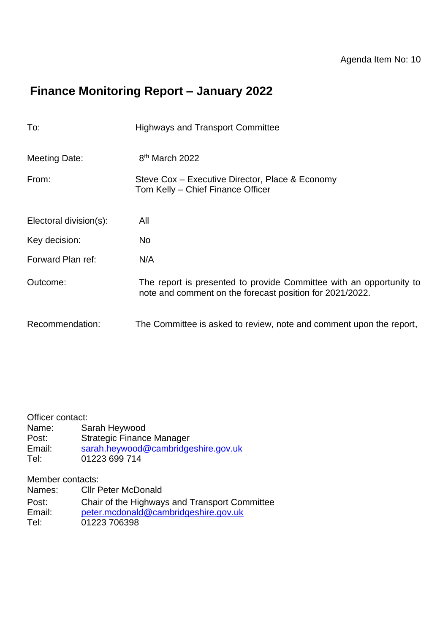# **Finance Monitoring Report – January 2022**

| To:                    | <b>Highways and Transport Committee</b>                                                                                         |
|------------------------|---------------------------------------------------------------------------------------------------------------------------------|
| Meeting Date:          | 8 <sup>th</sup> March 2022                                                                                                      |
| From:                  | Steve Cox – Executive Director, Place & Economy<br>Tom Kelly – Chief Finance Officer                                            |
| Electoral division(s): | All                                                                                                                             |
| Key decision:          | No.                                                                                                                             |
| Forward Plan ref:      | N/A                                                                                                                             |
| Outcome:               | The report is presented to provide Committee with an opportunity to<br>note and comment on the forecast position for 2021/2022. |
| Recommendation:        | The Committee is asked to review, note and comment upon the report,                                                             |

#### Officer contact:

Name: Sarah Heywood Post: Strategic Finance Manager Email: [sarah.heywood@cambridgeshire.gov.uk](mailto:sarah.heywood@cambridgeshire.gov.uk) Tel: 01223 699 714

Member contacts:

- Names: Cllr Peter McDonald
- Post: Chair of the Highways and Transport Committee Email: [peter.mcdonald@cambridgeshire.gov.uk](mailto:peter.mcdonald@cambridgeshire.gov.uk) Tel: 01223 706398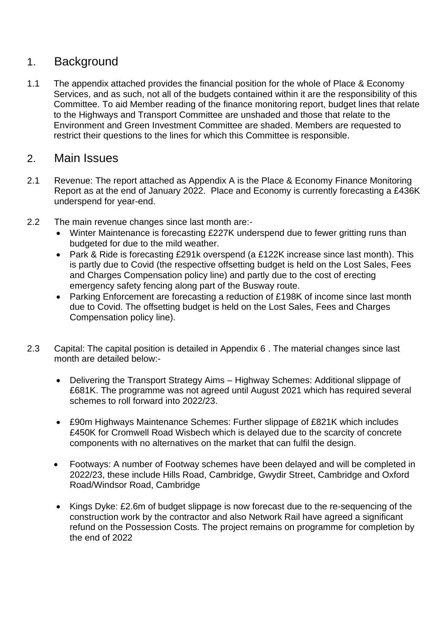## 1. Background

1.1 The appendix attached provides the financial position for the whole of Place & Economy Services, and as such, not all of the budgets contained within it are the responsibility of this Committee. To aid Member reading of the finance monitoring report, budget lines that relate to the Highways and Transport Committee are unshaded and those that relate to the Environment and Green Investment Committee are shaded. Members are requested to restrict their questions to the lines for which this Committee is responsible.

#### 2. Main Issues

- 2.1 Revenue: The report attached as Appendix A is the Place & Economy Finance Monitoring Report as at the end of January 2022. Place and Economy is currently forecasting a £436K underspend for year-end.
- 2.2 The main revenue changes since last month are:-
	- Winter Maintenance is forecasting £227K underspend due to fewer gritting runs than budgeted for due to the mild weather.
	- Park & Ride is forecasting £291k overspend (a £122K increase since last month). This is partly due to Covid (the respective offsetting budget is held on the Lost Sales, Fees and Charges Compensation policy line) and partly due to the cost of erecting emergency safety fencing along part of the Busway route.
	- Parking Enforcement are forecasting a reduction of £198K of income since last month due to Covid. The offsetting budget is held on the Lost Sales, Fees and Charges Compensation policy line).
- 2.3 Capital: The capital position is detailed in Appendix 6 . The material changes since last month are detailed below:-
	- Delivering the Transport Strategy Aims Highway Schemes: Additional slippage of £681K. The programme was not agreed until August 2021 which has required several schemes to roll forward into 2022/23.
	- £90m Highways Maintenance Schemes: Further slippage of £821K which includes £450K for Cromwell Road Wisbech which is delayed due to the scarcity of concrete components with no alternatives on the market that can fulfil the design.
	- Footways: A number of Footway schemes have been delayed and will be completed in 2022/23, these include Hills Road, Cambridge, Gwydir Street, Cambridge and Oxford Road/Windsor Road, Cambridge
	- Kings Dyke: £2.6m of budget slippage is now forecast due to the re-sequencing of the construction work by the contractor and also Network Rail have agreed a significant refund on the Possession Costs. The project remains on programme for completion by the end of 2022